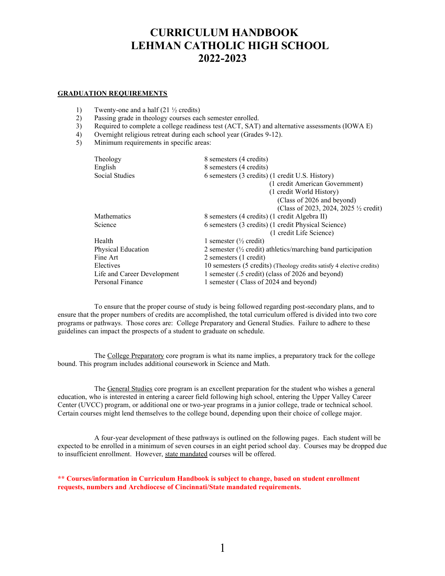# **CURRICULUM HANDBOOK LEHMAN CATHOLIC HIGH SCHOOL 2022-2023**

# **GRADUATION REQUIREMENTS**

- 1) Twenty-one and a half (21 ½ credits)
- 2) Passing grade in theology courses each semester enrolled.
- 3) Required to complete a college readiness test (ACT, SAT) and alternative assessments (IOWA E)
- 4) Overnight religious retreat during each school year (Grades 9-12).
- 5) Minimum requirements in specific areas:

| Theology                    | 8 semesters (4 credits)                                                  |
|-----------------------------|--------------------------------------------------------------------------|
| English                     | 8 semesters (4 credits)                                                  |
| Social Studies              | 6 semesters (3 credits) (1 credit U.S. History)                          |
|                             | (1 credit American Government)                                           |
|                             | (1 credit World History)                                                 |
|                             | (Class of 2026 and beyond)                                               |
|                             | (Class of 2023, 2024, 2025 $\frac{1}{2}$ credit)                         |
| <b>Mathematics</b>          | 8 semesters (4 credits) (1 credit Algebra II)                            |
| Science                     | 6 semesters (3 credits) (1 credit Physical Science)                      |
|                             | (1 credit Life Science)                                                  |
| Health                      | 1 semester ( $\frac{1}{2}$ credit)                                       |
| Physical Education          | 2 semester $(\frac{1}{2})$ credit) athletics/marching band participation |
| Fine Art                    | 2 semesters (1 credit)                                                   |
| Electives                   | 10 semesters (5 credits) (Theology credits satisfy 4 elective credits)   |
| Life and Career Development | 1 semester (.5 credit) (class of 2026 and beyond)                        |
| Personal Finance            | 1 semester (Class of 2024 and beyond)                                    |

To ensure that the proper course of study is being followed regarding post-secondary plans, and to ensure that the proper numbers of credits are accomplished, the total curriculum offered is divided into two core programs or pathways. Those cores are: College Preparatory and General Studies. Failure to adhere to these guidelines can impact the prospects of a student to graduate on schedule.

The College Preparatory core program is what its name implies, a preparatory track for the college bound. This program includes additional coursework in Science and Math.

The General Studies core program is an excellent preparation for the student who wishes a general education, who is interested in entering a career field following high school, entering the Upper Valley Career Center (UVCC) program, or additional one or two-year programs in a junior college, trade or technical school. Certain courses might lend themselves to the college bound, depending upon their choice of college major.

A four-year development of these pathways is outlined on the following pages. Each student will be expected to be enrolled in a minimum of seven courses in an eight period school day. Courses may be dropped due to insufficient enrollment. However, state mandated courses will be offered.

**\*\* Courses/information in Curriculum Handbook is subject to change, based on student enrollment requests, numbers and Archdiocese of Cincinnati/State mandated requirements.**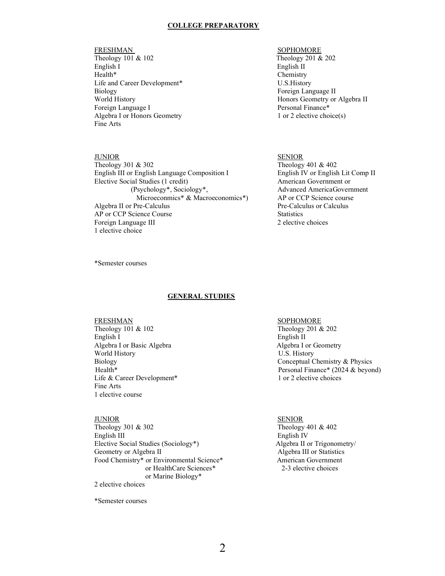# **COLLEGE PREPARATORY**

Theology 101 & 102 Theology 201 & 202 English I English II Health<sup>\*</sup> Chemistry Life and Career Development\* U.S. History Biology Foreign Language II Foreign Language I Personal Finance\*<br>Algebra I or Honors Geometry 1 or 2 elective choice(s) Algebra I or Honors Geometry Fine Arts

Theology 301 & 302 Theology 401 & 402 English III or English Language Composition I English IV or English Lit Comp II Elective Social Studies (1 credit) American Government or (Psychology\*, Sociology\*, Advanced AmericaGovernment Microeconmics\* & Macroeconomics\*) AP or CCP Science course Algebra II or Pre-Calculus Pre-Calculus Pre-Calculus or Calculus or Pre-Calculus or Calculus Pre-Calculus or Calculus Pre-AP or CCP Science Course Statistics Foreign Language III 2 elective choices 1 elective choice

# FRESHMAN SOPHOMORE

World History Honors Geometry or Algebra II

# JUNIOR SENIOR

\*Semester courses

# **GENERAL STUDIES**

# FRESHMAN<br>Theology 101 & 102 Theology 201 & 202 Theology 101 & 102 English I<br>
Algebra I or Basic Algebra<br>
Algebra I or Geometry<br>
Algebra I or Geometry Algebra I or Basic Algebra World History **U.S. History** U.S. History Life & Career Development<sup>\*</sup> 1 or 2 elective choices Fine Arts 1 elective course

# JUNIOR SENIOR

Theology 301 & 302 Theology 401 & 402 English III English IV Elective Social Studies (Sociology\*) Algebra II or Trigonometry/ Geometry or Algebra II and The Algebra III or Statistics Food Chemistry\* or Environmental Science\* American Government or HealthCare Sciences\* 2-3 elective choices or Marine Biology\* 2 elective choices

\*Semester courses

Biology Conceptual Chemistry & Physics<br>
Health\* Personal Finance\* (2024 & bevor Personal Finance\* (2024 & beyond)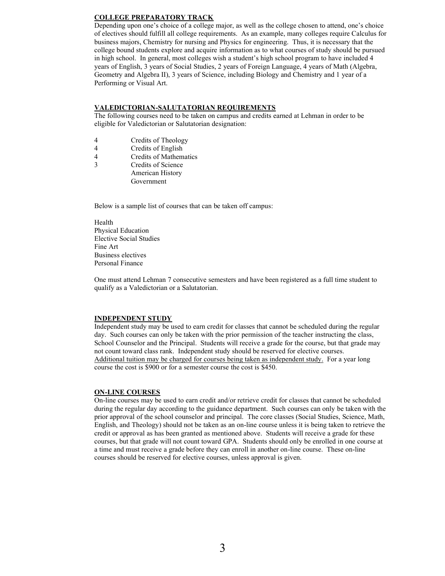# **COLLEGE PREPARATORY TRACK**

Depending upon one's choice of a college major, as well as the college chosen to attend, one's choice of electives should fulfill all college requirements. As an example, many colleges require Calculus for business majors, Chemistry for nursing and Physics for engineering. Thus, it is necessary that the college bound students explore and acquire information as to what courses of study should be pursued in high school. In general, most colleges wish a student's high school program to have included 4 years of English, 3 years of Social Studies, 2 years of Foreign Language, 4 years of Math (Algebra, Geometry and Algebra II), 3 years of Science, including Biology and Chemistry and 1 year of a Performing or Visual Art.

# **VALEDICTORIAN-SALUTATORIAN REQUIREMENTS**

The following courses need to be taken on campus and credits earned at Lehman in order to be eligible for Valedictorian or Salutatorian designation:

- 4 Credits of Theology<br>4 Credits of English
- Credits of English
- 4 Credits of Mathematics
- 3 Credits of Science American History Government

Below is a sample list of courses that can be taken off campus:

Health Physical Education Elective Social Studies Fine Art Business electives Personal Finance

One must attend Lehman 7 consecutive semesters and have been registered as a full time student to qualify as a Valedictorian or a Salutatorian.

# **INDEPENDENT STUDY**

Independent study may be used to earn credit for classes that cannot be scheduled during the regular day. Such courses can only be taken with the prior permission of the teacher instructing the class, School Counselor and the Principal. Students will receive a grade for the course, but that grade may not count toward class rank. Independent study should be reserved for elective courses. Additional tuition may be charged for courses being taken as independent study. For a year long course the cost is \$900 or for a semester course the cost is \$450.

# **ON-LINE COURSES**

On-line courses may be used to earn credit and/or retrieve credit for classes that cannot be scheduled during the regular day according to the guidance department. Such courses can only be taken with the prior approval of the school counselor and principal. The core classes (Social Studies, Science, Math, English, and Theology) should not be taken as an on-line course unless it is being taken to retrieve the credit or approval as has been granted as mentioned above. Students will receive a grade for these courses, but that grade will not count toward GPA. Students should only be enrolled in one course at a time and must receive a grade before they can enroll in another on-line course. These on-line courses should be reserved for elective courses, unless approval is given.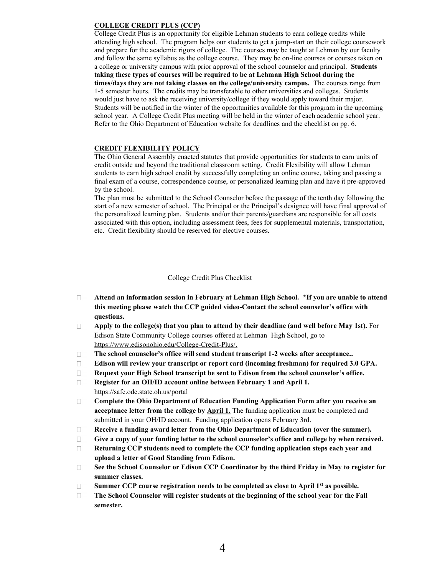# **COLLEGE CREDIT PLUS (CCP)**

College Credit Plus is an opportunity for eligible Lehman students to earn college credits while attending high school. The program helps our students to get a jump-start on their college coursework and prepare for the academic rigors of college. The courses may be taught at Lehman by our faculty and follow the same syllabus as the college course. They may be on-line courses or courses taken on a college or university campus with prior approval of the school counselor and principal. **Students taking these types of courses will be required to be at Lehman High School during the times/days they are not taking classes on the college/university campus.** The courses range from 1-5 semester hours. The credits may be transferable to other universities and colleges. Students would just have to ask the receiving university/college if they would apply toward their major. Students will be notified in the winter of the opportunities available for this program in the upcoming school year. A College Credit Plus meeting will be held in the winter of each academic school year. Refer to the Ohio Department of Education website for deadlines and the checklist on pg. 6.

# **CREDIT FLEXIBILITY POLICY**

The Ohio General Assembly enacted statutes that provide opportunities for students to earn units of credit outside and beyond the traditional classroom setting. Credit Flexibility will allow Lehman students to earn high school credit by successfully completing an online course, taking and passing a final exam of a course, correspondence course, or personalized learning plan and have it pre-approved by the school.

The plan must be submitted to the School Counselor before the passage of the tenth day following the start of a new semester of school. The Principal or the Principal's designee will have final approval of the personalized learning plan. Students and/or their parents/guardians are responsible for all costs associated with this option, including assessment fees, fees for supplemental materials, transportation, etc. Credit flexibility should be reserved for elective courses.

# College Credit Plus Checklist

- **Attend an information session in February at Lehman High School. \*If you are unable to attend**   $\Box$ **this meeting please watch the CCP guided video-Contact** the school counselor's office **with questions.**
- $\Box$ **Apply to the college(s) that you plan to attend by their deadline (and well before May 1st).** For Edison State Community College courses offered at Lehman High School, go to https://www.edisonohio.edu/College-Credit-Plus/.
- The school counselor's office will send student transcript 1**-2 weeks after acceptance..**  $\Box$
- **Edison will review your transcript or report card (incoming freshman) for required 3.0 GPA.**  $\Box$
- $\Box$ **Request your High School transcript be sent to Edison from the** school counselor's office.
- **Register for an OH/ID account online between February 1 and April 1.**  $\Box$ https://safe.ode.state.oh.us/portal
- $\Box$ **Complete the Ohio Department of Education Funding Application Form after you receive an acceptance letter from the college by April 1.** The funding application must be completed and submitted in your OH/ID account. Funding application opens February 3rd.
- $\Box$ **Receive a funding award letter from the Ohio Department of Education (over the summer).**
- $\Box$ **Give a copy of your funding letter to** the school counselor's office **and college by when received.**
- **Returning CCP students need to complete the CCP funding application steps each year and**   $\Box$ **upload a letter of Good Standing from Edison.**
- **See the School Counselor or Edison CCP Coordinator by the third Friday in May to register for**   $\Box$ **summer classes.**
- **Summer CCP course registration needs to be completed as close to April 1st as possible.**   $\Box$
- $\Box$ **The School Counselor will register students at the beginning of the school year for the Fall semester.**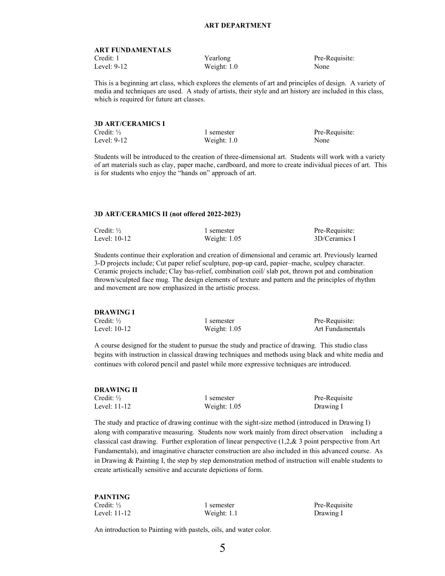#### **ART FUNDAMENTALS**

Weight: 1.0 None

Credit: 1 Yearlong Pre-Requisite:<br>
Level: 9-12 Weight: 1.0 None

This is a beginning art class, which explores the elements of art and principles of design. A variety of media and techniques are used. A study of artists, their style and art history are included in this class, which is required for future art classes.

# **3D ART/CERAMICS I** Credit: <sup>1/2</sup> 1 semester Pre-Requisite: Level: 9-12 Weight: 1.0 None

Students will be introduced to the creation of three-dimensional art. Students will work with a variety of art materials such as clay, paper mache, cardboard, and more to create individual pieces of art. This is for students who enjoy the "hands on" approach of art.

## **3D ART/CERAMICS II (not offered 2022-2023)**

| Credit: $\frac{1}{2}$ | 1 semester     | Pre-Requisite: |
|-----------------------|----------------|----------------|
| Level: $10-12$        | Weight: $1.05$ | 3D/Ceramics I  |

Students continue their exploration and creation of dimensional and ceramic art. Previously learned 3-D projects include; Cut paper relief sculpture, pop-up card, papier–mache, sculpey character. Ceramic projects include; Clay bas-relief, combination coil/ slab pot, thrown pot and combination thrown/sculpted face mug. The design elements of texture and pattern and the principles of rhythm and movement are now emphasized in the artistic process.

| <b>DRAWING I</b>      |                |                  |
|-----------------------|----------------|------------------|
| Credit: $\frac{1}{2}$ | 1 semester     | Pre-Requisite:   |
| Level: 10-12          | Weight: $1.05$ | Art Fundamentals |

A course designed for the student to pursue the study and practice of drawing. This studio class begins with instruction in classical drawing techniques and methods using black and white media and continues with colored pencil and pastel while more expressive techniques are introduced.

# **DRAWING II**

| Credit: $\frac{1}{2}$ | . semester     | Pre-Requisite |
|-----------------------|----------------|---------------|
| Level: 11-12          | Weight: $1.05$ | Drawing I     |

The study and practice of drawing continue with the sight-size method (introduced in Drawing I) along with comparative measuring. Students now work mainly from direct observation including a classical cast drawing. Further exploration of linear perspective (1,2,& 3 point perspective from Art Fundamentals), and imaginative character construction are also included in this advanced course. As in Drawing & Painting I, the step by step demonstration method of instruction will enable students to create artistically sensitive and accurate depictions of form.

| PAINTING              |               |               |
|-----------------------|---------------|---------------|
| Credit: $\frac{1}{2}$ | 1 semester    | Pre-Requisite |
| Level: 11-12          | Weight: $1.1$ | Drawing I     |

An introduction to Painting with pastels, oils, and water color.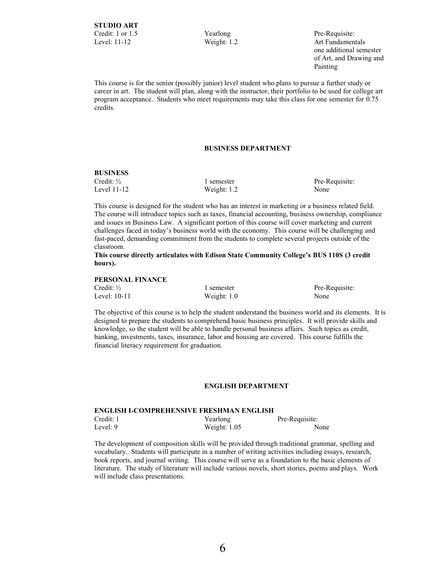Level: 11-12 Weight: 1.2 Art Fundamentals one additional semester of Art, and Drawing and Painting

This course is for the senior (possibly junior) level student who plans to pursue a further study or career in art. The student will plan, along with the instructor, their portfolio to be used for college art program acceptance. Students who meet requirements may take this class for one semester for 0.75 credits.

# **BUSINESS DEPARTMENT**

# **BUSINESS**

Level 11-12 Weight: 1.2 None

Credit: <sup>1/2</sup> 1 semester Pre-Requisite:

This course is designed for the student who has an interest in marketing or a business related field. The course will introduce topics such as taxes, financial accounting, business ownership, compliance and issues in Business Law. A significant portion of this course will cover marketing and current challenges faced in today's business world with the economy. This course will be challenging and fast-paced, demanding commitment from the students to complete several projects outside of the classroom.

This course directly articulates with Edison State Community College's **BUS 110S (3 credit hours).**

# **PERSONAL FINANCE**

Credit: <sup>1</sup>/<sub>2</sub> 1 semester Pre-Requisite: Level: 10-11 Weight: 1.0 None Weight: 1.0 None

The objective of this course is to help the student understand the business world and its elements. It is designed to prepare the students to comprehend basic business principles. It will provide skills and knowledge, so the student will be able to handle personal business affairs. Such topics as credit, banking, investments, taxes, insurance, labor and housing are covered. This course fulfills the financial literacy requirement for graduation.

#### **ENGLISH DEPARTMENT**

# **ENGLISH I-COMPREHENSIVE FRESHMAN ENGLISH** Credit: 1 Yearlong Pre-Requisite: Level: 9 Weight: 1.05 None

The development of composition skills will be provided through traditional grammar, spelling and vocabulary. Students will participate in a number of writing activities including essays, research, book reports, and journal writing. This course will serve as a foundation to the basic elements of literature. The study of literature will include various novels, short stories, poems and plays. Work will include class presentations.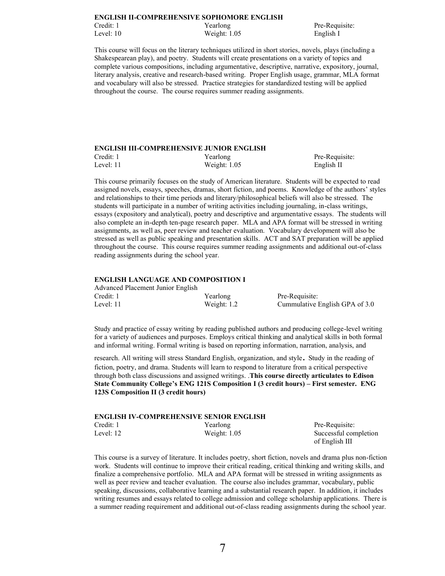#### **ENGLISH II-COMPREHENSIVE SOPHOMORE ENGLISH**

Level: 10 Weight: 1.05 English I

Credit: 1 Yearlong Pre-Requisite:

This course will focus on the literary techniques utilized in short stories, novels, plays (including a Shakespearean play), and poetry. Students will create presentations on a variety of topics and complete various compositions, including argumentative, descriptive, narrative, expository, journal, literary analysis, creative and research-based writing. Proper English usage, grammar, MLA format and vocabulary will also be stressed. Practice strategies for standardized testing will be applied throughout the course. The course requires summer reading assignments.

### **ENGLISH III-COMPREHENSIVE JUNIOR ENGLISH**

| Credit: 1 | Yearlong       | Pre-Requisite: |
|-----------|----------------|----------------|
| Level: 11 | Weight: $1.05$ | English II     |

This course primarily focuses on the study of American literature. Students will be expected to read assigned novels, essays, speeches, dramas, short fiction, and poems. Knowledge of the authors' styles and relationships to their time periods and literary/philosophical beliefs will also be stressed. The students will participate in a number of writing activities including journaling, in-class writings, essays (expository and analytical), poetry and descriptive and argumentative essays. The students will also complete an in-depth ten-page research paper. MLA and APA format will be stressed in writing assignments, as well as, peer review and teacher evaluation. Vocabulary development will also be stressed as well as public speaking and presentation skills. ACT and SAT preparation will be applied throughout the course. This course requires summer reading assignments and additional out-of-class reading assignments during the school year.

#### **ENGLISH LANGUAGE AND COMPOSITION I**

| Advanced Placement Junior English |               |                                |
|-----------------------------------|---------------|--------------------------------|
| Credit: 1                         | Yearlong      | Pre-Requisite:                 |
| Level: 11                         | Weight: $1.2$ | Cummulative English GPA of 3.0 |

Study and practice of essay writing by reading published authors and producing college-level writing for a variety of audiences and purposes. Employs critical thinking and analytical skills in both formal and informal writing. Formal writing is based on reporting information, narration, analysis, and

research. All writing will stress Standard English, organization, and style. Study in the reading of fiction, poetry, and drama. Students will learn to respond to literature from a critical perspective through both class discussions and assigned writings. .**This course directly articulates to Edison**  State Community College's ENG 121S Composition I **(3 credit hours)** – **First semester. ENG 123S Composition II (3 credit hours)**

|           | ENGLISH IV-COMPREHENSIVE SENIOR ENGLISH |  |
|-----------|-----------------------------------------|--|
| Credit: 1 | Yearlong                                |  |
|           |                                         |  |

**ENGLISH IV-COMPREHENSIVE SENIOR ENGLISH**

Pre-Requisite: Level: 12 Weight: 1.05 Successful completion of English III

This course is a survey of literature. It includes poetry, short fiction, novels and drama plus non-fiction work. Students will continue to improve their critical reading, critical thinking and writing skills, and finalize a comprehensive portfolio. MLA and APA format will be stressed in writing assignments as well as peer review and teacher evaluation. The course also includes grammar, vocabulary, public speaking, discussions, collaborative learning and a substantial research paper. In addition, it includes writing resumes and essays related to college admission and college scholarship applications. There is a summer reading requirement and additional out-of-class reading assignments during the school year.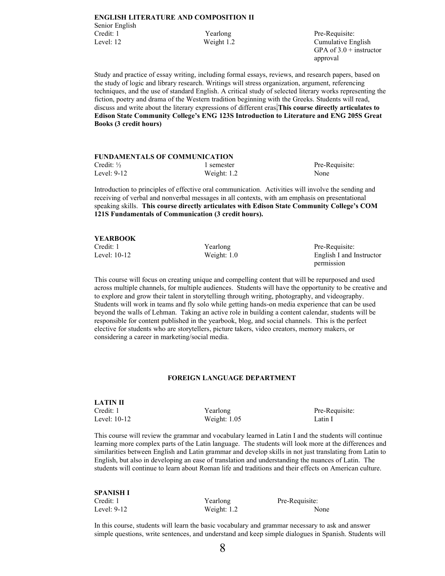| <b>ENGLISH LITERATURE AND COMPOSITION II</b> |            |                    |
|----------------------------------------------|------------|--------------------|
| Senior English                               |            |                    |
| Credit: 1                                    | Yearlong   | Pre-Requisite:     |
| Level: 12                                    | Weight 1.2 | Cumulative English |

Pre-Requisite: GPA of  $3.0 +$  instructor approval

Study and practice of essay writing, including formal essays, reviews, and research papers, based on the study of logic and library research. Writings will stress organization, argument, referencing techniques, and the use of standard English. A critical study of selected literary works representing the fiction, poetry and drama of the Western tradition beginning with the Greeks. Students will read, discuss and write about the literary expressions of different eras.**This course directly articulates to**  Edison State Community College's ENG **123S Introduction to Literature and ENG 205S Great Books (3 credit hours)** 

| <b>FUNDAMENTALS OF COMMUNICATION</b> |               |                |  |
|--------------------------------------|---------------|----------------|--|
| Credit: $\frac{1}{2}$                | 1 semester    | Pre-Requisite: |  |
| Level: $9-12$                        | Weight: $1.2$ | None           |  |

Introduction to principles of effective oral communication. Activities will involve the sending and receiving of verbal and nonverbal messages in all contexts, with am emphasis on presentational speaking skills. **This course directly articu**lates with Edison State Community College's COM **121S Fundamentals of Communication (3 credit hours).**

| <b>YEARBOOK</b> |               |                          |
|-----------------|---------------|--------------------------|
| Credit: 1       | Yearlong      | Pre-Requisite:           |
| Level: 10-12    | Weight: $1.0$ | English I and Instructor |
|                 |               | permission               |

This course will focus on creating unique and compelling content that will be repurposed and used across multiple channels, for multiple audiences. Students will have the opportunity to be creative and to explore and grow their talent in storytelling through writing, photography, and videography. Students will work in teams and fly solo while getting hands-on media experience that can be used beyond the walls of Lehman. Taking an active role in building a content calendar, students will be responsible for content published in the yearbook, blog, and social channels. This is the perfect elective for students who are storytellers, picture takers, video creators, memory makers, or considering a career in marketing/social media.

# **FOREIGN LANGUAGE DEPARTMENT**

| <b>LATIN II</b> |                |         |
|-----------------|----------------|---------|
| Credit: 1       | Yearlong       | Pre-Re  |
| Level: 10-12    | Weight: $1.05$ | Latin I |

Pre-Requisite:

This course will review the grammar and vocabulary learned in Latin I and the students will continue learning more complex parts of the Latin language. The students will look more at the differences and similarities between English and Latin grammar and develop skills in not just translating from Latin to English, but also in developing an ease of translation and understanding the nuances of Latin. The students will continue to learn about Roman life and traditions and their effects on American culture.

| <b>SPANISH I</b> |               |                |
|------------------|---------------|----------------|
| Credit: 1        | Yearlong      | Pre-Requisite: |
| Level: $9-12$    | Weight: $1.2$ | None           |

In this course, students will learn the basic vocabulary and grammar necessary to ask and answer simple questions, write sentences, and understand and keep simple dialogues in Spanish. Students will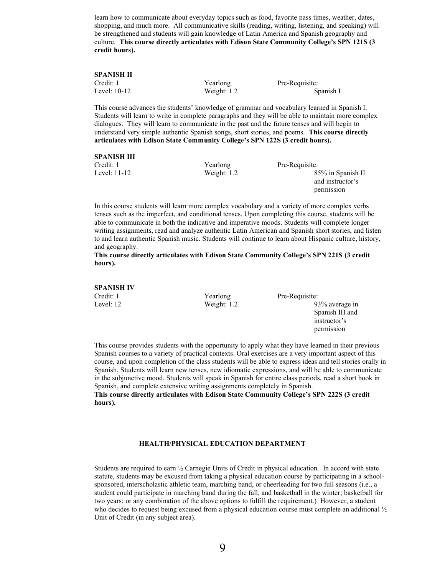learn how to communicate about everyday topics such as food, favorite pass times, weather, dates, shopping, and much more. All communicative skills (reading, writing, listening, and speaking) will be strengthened and students will gain knowledge of Latin America and Spanish geography and culture. This course directly articulates with Edison State Community College's SPN 121S (3 **credit hours).**

| <b>SPANISH II</b><br>Credit: 1<br>Level: 10-12 | Yearlong<br>Weight: $1.2$                                                                           | Pre-Requisite:<br>Spanish I                                                                  |
|------------------------------------------------|-----------------------------------------------------------------------------------------------------|----------------------------------------------------------------------------------------------|
|                                                | 1990年,1991年,1991年,1991年,1991年,1991年,1991年,1991年,1991年,1991年,1991年,1991年,1991年,1991年,1992年,1992年,199 | This course advances the students' knowledge of grammar and vocabulary learned in Spanish I. |

Students will learn to write in complete paragraphs and they will be able to maintain more complex dialogues. They will learn to communicate in the past and the future tenses and will begin to understand very simple authentic Spanish songs, short stories, and poems. **This course directly articulates with Edison State Comm**unity College'**s SPN 122S (3 credit hours).**

| <b>SPANISH III</b> |               |                   |
|--------------------|---------------|-------------------|
| Credit: 1          | Yearlong      | Pre-Requisite:    |
| Level: 11-12       | Weight: $1.2$ | 85% in Spanish II |
|                    |               | and instructor's  |
|                    |               | permission        |

In this course students will learn more complex vocabulary and a variety of more complex verbs tenses such as the imperfect, and conditional tenses. Upon completing this course, students will be able to communicate in both the indicative and imperative moods. Students will complete longer writing assignments, read and analyze authentic Latin American and Spanish short stories, and listen to and learn authentic Spanish music. Students will continue to learn about Hispanic culture, history, and geography.

**This course directly articulates with Edison State Community Colle**ge's SPN 221S (3 credit **hours).** 

| SPANISH IV |               |                 |
|------------|---------------|-----------------|
| Credit: 1  | Yearlong      | Pre-Requisite:  |
| Level: 12  | Weight: $1.2$ | 93% average in  |
|            |               | Spanish III and |
|            |               | instructor's    |
|            |               | permission      |

This course provides students with the opportunity to apply what they have learned in their previous Spanish courses to a variety of practical contexts. Oral exercises are a very important aspect of this course, and upon completion of the class students will be able to express ideas and tell stories orally in Spanish. Students will learn new tenses, new idiomatic expressions, and will be able to communicate in the subjunctive mood. Students will speak in Spanish for entire class periods, read a short book in Spanish, and complete extensive writing assignments completely in Spanish.

This course directly articulates with Edison State Community College's SPN 222S (3 credit **hours).** 

# **HEALTH/PHYSICAL EDUCATION DEPARTMENT**

Students are required to earn ½ Carnegie Units of Credit in physical education. In accord with state statute, students may be excused from taking a physical education course by participating in a schoolsponsored, interscholastic athletic team, marching band, or cheerleading for two full seasons (i.e., a student could participate in marching band during the fall, and basketball in the winter; basketball for two years; or any combination of the above options to fulfill the requirement.) However, a student who decides to request being excused from a physical education course must complete an additional  $\frac{1}{2}$ Unit of Credit (in any subject area).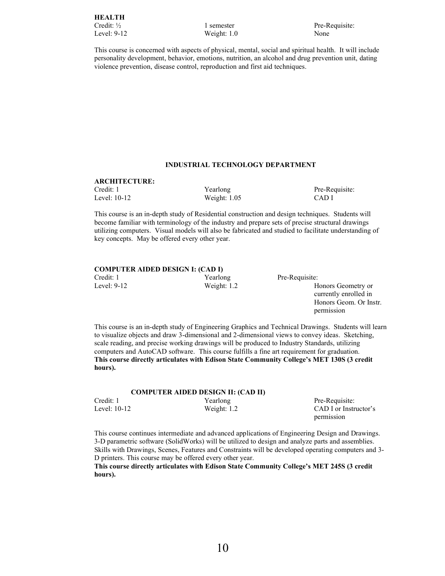This course is concerned with aspects of physical, mental, social and spiritual health. It will include personality development, behavior, emotions, nutrition, an alcohol and drug prevention unit, dating violence prevention, disease control, reproduction and first aid techniques.

# **INDUSTRIAL TECHNOLOGY DEPARTMENT**

# **ARCHITECTURE:**

Level: 10-12 Weight: 1.05 CAD I

Credit: 1 Yearlong Pre-Requisite:

This course is an in-depth study of Residential construction and design techniques. Students will become familiar with terminology of the industry and prepare sets of precise structural drawings utilizing computers. Visual models will also be fabricated and studied to facilitate understanding of key concepts. May be offered every other year.

# **COMPUTER AIDED DESIGN I: (CAD I)**

Credit: 1 Yearlong Pre-Requisite:<br>
Level: 9-12 Weight: 1.2 H

Weight: 1.2 Honors Geometry or currently enrolled in Honors Geom. Or Instr. permission

This course is an in-depth study of Engineering Graphics and Technical Drawings. Students will learn to visualize objects and draw 3-dimensional and 2-dimensional views to convey ideas. Sketching, scale reading, and precise working drawings will be produced to Industry Standards, utilizing computers and AutoCAD software. This course fulfills a fine art requirement for graduation. **This course directly articulates with Edison State C**ommunity College's MET 130S (3 credit **hours).**

# **COMPUTER AIDED DESIGN II: (CAD II)**

| Credit: 1    | Yearlong      | Pre-Requisite:        |
|--------------|---------------|-----------------------|
| Level: 10-12 | Weight: $1.2$ | CAD I or Instructor's |
|              |               | permission            |

This course continues intermediate and advanced applications of Engineering Design and Drawings. 3-D parametric software (SolidWorks) will be utilized to design and analyze parts and assemblies. Skills with Drawings, Scenes, Features and Constraints will be developed operating computers and 3- D printers. This course may be offered every other year.

This course directly articulates with Edison State Community College's MET 245S (3 credit **hours).**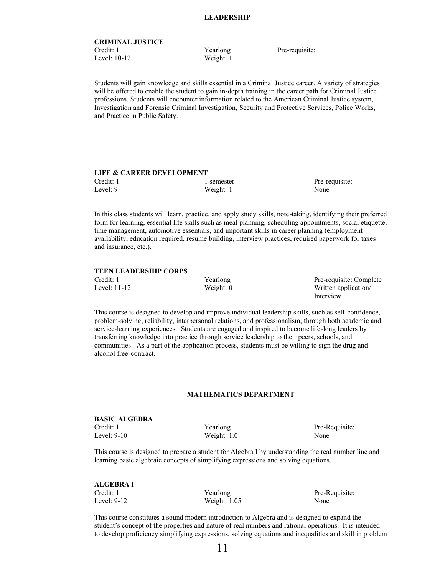# **CRIMINAL JUSTICE** Credit: 1 Yearlong Pre-requisite: Level: 10-12 Weight: 1

Students will gain knowledge and skills essential in a Criminal Justice career. A variety of strategies will be offered to enable the student to gain in-depth training in the career path for Criminal Justice professions. Students will encounter information related to the American Criminal Justice system, Investigation and Forensic Criminal Investigation, Security and Protective Services, Police Works, and Practice in Public Safety.

# **LIFE & CAREER DEVELOPMENT**

Level: 9 Weight: 1 None

Credit: 1 1 semester Pre-requisite:

In this class students will learn, practice, and apply study skills, note-taking, identifying their preferred form for learning, essential life skills such as meal planning, scheduling appointments, social etiquette, time management, automotive essentials, and important skills in career planning (employment availability, education required, resume building, interview practices, required paperwork for taxes and insurance, etc.).

# **TEEN LEADERSHIP CORPS**

| Credit: 1    | Yearlong    | Pre-requisite: Complete |
|--------------|-------------|-------------------------|
| Level: 11-12 | Weight: $0$ | Written application/    |

Interview

This course is designed to develop and improve individual leadership skills, such as self-confidence, problem-solving, reliability, interpersonal relations, and professionalism, through both academic and service-learning experiences. Students are engaged and inspired to become life-long leaders by transferring knowledge into practice through service leadership to their peers, schools, and communities. As a part of the application process, students must be willing to sign the drug and alcohol free contract.

### **MATHEMATICS DEPARTMENT**

# **BASIC ALGEBRA** Credit: 1 Yearlong Pre-Requisite:

Level: 9-10 Weight: 1.0 None

This course is designed to prepare a student for Algebra I by understanding the real number line and learning basic algebraic concepts of simplifying expressions and solving equations.

| ALGEBRA I   |                |       |
|-------------|----------------|-------|
| Credit: 1   | Yearlong       | Pre-R |
| Level: 9-12 | Weight: $1.05$ | None  |

Pre-Requisite:

This course constitutes a sound modern introduction to Algebra and is designed to expand the student's concept of the properties and nature of real numbers and rational operations. It is intended to develop proficiency simplifying expressions, solving equations and inequalities and skill in problem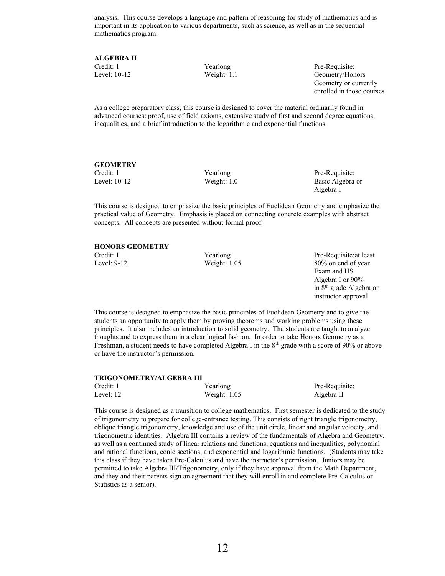analysis. This course develops a language and pattern of reasoning for study of mathematics and is important in its application to various departments, such as science, as well as in the sequential mathematics program.

**ALGEBRA II**

Credit: 1 Yearlong Pre-Requisite: Level: 10-12 Weight: 1.1 Geometry/Honors Geometry or currently enrolled in those courses

As a college preparatory class, this course is designed to cover the material ordinarily found in advanced courses: proof, use of field axioms, extensive study of first and second degree equations, inequalities, and a brief introduction to the logarithmic and exponential functions.

# **GEOMETRY**

Credit: 1 Yearlong Pre-Requisite: Level: 10-12 Weight: 1.0 Basic Algebra or Algebra I

This course is designed to emphasize the basic principles of Euclidean Geometry and emphasize the practical value of Geometry. Emphasis is placed on connecting concrete examples with abstract concepts. All concepts are presented without formal proof.

# **HONORS GEOMETRY**

Credit: 1 Yearlong Pre-Requisite:at least Level: 9-12 Weight: 1.05 80% on end of year Exam and HS Algebra I or 90% in 8th grade Algebra or instructor approval

This course is designed to emphasize the basic principles of Euclidean Geometry and to give the students an opportunity to apply them by proving theorems and working problems using these principles. It also includes an introduction to solid geometry. The students are taught to analyze thoughts and to express them in a clear logical fashion. In order to take Honors Geometry as a Freshman, a student needs to have completed Algebra I in the  $8<sup>th</sup>$  grade with a score of 90% or above or have the instructor's permission.

### **TRIGONOMETRY/ALGEBRA III**

| Credit: 1 | Yearlong       | Pre-Requisite: |
|-----------|----------------|----------------|
| Level: 12 | Weight: $1.05$ | Algebra II     |

This course is designed as a transition to college mathematics. First semester is dedicated to the study of trigonometry to prepare for college-entrance testing. This consists of right triangle trigonometry, oblique triangle trigonometry, knowledge and use of the unit circle, linear and angular velocity, and trigonometric identities. Algebra III contains a review of the fundamentals of Algebra and Geometry, as well as a continued study of linear relations and functions, equations and inequalities, polynomial and rational functions, conic sections, and exponential and logarithmic functions. (Students may take this class if they have taken Pre-Calculus and have the instructor's permission. Juniors may be permitted to take Algebra III/Trigonometry, only if they have approval from the Math Department, and they and their parents sign an agreement that they will enroll in and complete Pre-Calculus or Statistics as a senior).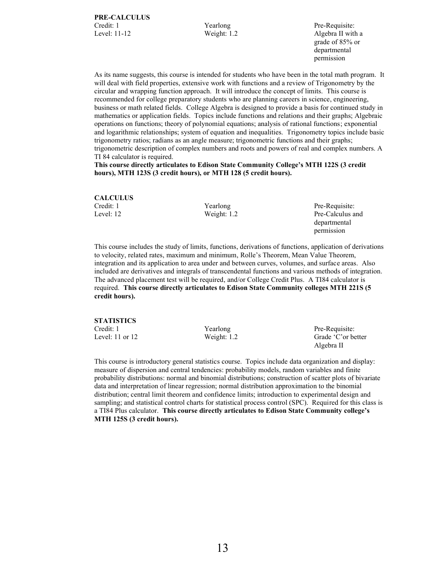grade of 85% or departmental permission

permission

As its name suggests, this course is intended for students who have been in the total math program. It will deal with field properties, extensive work with functions and a review of Trigonometry by the circular and wrapping function approach. It will introduce the concept of limits. This course is recommended for college preparatory students who are planning careers in science, engineering, business or math related fields. College Algebra is designed to provide a basis for continued study in mathematics or application fields. Topics include functions and relations and their graphs; Algebraic operations on functions; theory of polynomial equations; analysis of rational functions; exponential and logarithmic relationships; system of equation and inequalities. Trigonometry topics include basic trigonometry ratios; radians as an angle measure; trigonometric functions and their graphs; trigonometric description of complex numbers and roots and powers of real and complex numbers. A TI 84 calculator is required.

**This course directly articulates to Edison State Communit**y College's MTH 122S (3 credit **hours), MTH 123S (3 credit hours), or MTH 128 (5 credit hours).**

| <b>CALCULUS</b> |               |                  |
|-----------------|---------------|------------------|
| Credit: 1       | Yearlong      | Pre-Requisite:   |
| Level: 12       | Weight: $1.2$ | Pre-Calculus and |
|                 |               | departmental     |

This course includes the study of limits, functions, derivations of functions, application of derivations to velocity, related rates, maximum and minimum, Rolle's Theorem, Mean Value Theorem, integration and its application to area under and between curves, volumes, and surface areas. Also included are derivatives and integrals of transcendental functions and various methods of integration. The advanced placement test will be required, and/or College Credit Plus. A TI84 calculator is required. **This course directly articulates to Edison State Community colleges MTH 221S (5 credit hours).**

| <b>STATISTICS</b> |               |                     |
|-------------------|---------------|---------------------|
| Credit: 1         | Yearlong      | Pre-Requisite:      |
| Level: 11 or 12   | Weight: $1.2$ | Grade 'C' or better |
|                   |               | Algebra II          |

This course is introductory general statistics course. Topics include data organization and display: measure of dispersion and central tendencies: probability models, random variables and finite probability distributions: normal and binomial distributions; construction of scatter plots of bivariate data and interpretation of linear regression; normal distribution approximation to the binomial distribution; central limit theorem and confidence limits; introduction to experimental design and sampling; and statistical control charts for statistical process control (SPC). Required for this class is a TI84 Plus calculator. **This course directly articulates to Edison Stat**e Community college's **MTH 125S (3 credit hours).**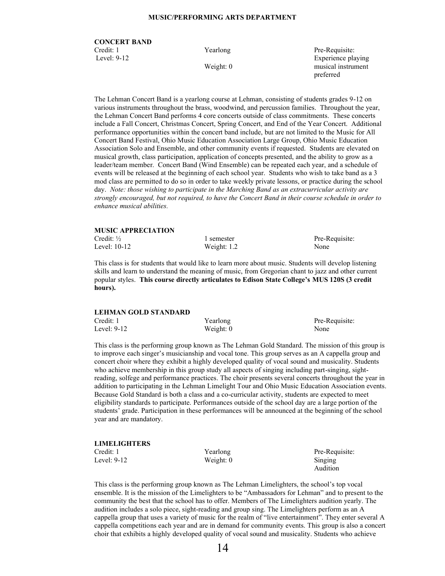### **MUSIC/PERFORMING ARTS DEPARTMENT**

# **CONCERT BAND** Credit: 1 Yearlong Pre-Requisite: Level: 9-12 Experience playing

Weight: 0 musical instrument preferred

The Lehman Concert Band is a yearlong course at Lehman, consisting of students grades 9-12 on various instruments throughout the brass, woodwind, and percussion families. Throughout the year, the Lehman Concert Band performs 4 core concerts outside of class commitments. These concerts include a Fall Concert, Christmas Concert, Spring Concert, and End of the Year Concert. Additional performance opportunities within the concert band include, but are not limited to the Music for All Concert Band Festival, Ohio Music Education Association Large Group, Ohio Music Education Association Solo and Ensemble, and other community events if requested. Students are elevated on musical growth, class participation, application of concepts presented, and the ability to grow as a leader/team member. Concert Band (Wind Ensemble) can be repeated each year, and a schedule of events will be released at the beginning of each school year. Students who wish to take band as a 3 mod class are permitted to do so in order to take weekly private lessons, or practice during the school day. *Note: those wishing to participate in the Marching Band as an extracurricular activity are strongly encouraged, but not required, to have the Concert Band in their course schedule in order to enhance musical abilities.*

# **MUSIC APPRECIATION** Credit:  $\frac{1}{2}$  1 semester Pre-Requisite: Level: 10-12 Weight: 1.2 None

This class is for students that would like to learn more about music. Students will develop listening skills and learn to understand the meaning of music, from Gregorian chant to jazz and other current popular styles. This course directly articulates to Edison State College's **MUS 120S (3 credit hours).**

| LEHMAN GOLD STANDARD |             |                |  |
|----------------------|-------------|----------------|--|
| Credit: 1            | Yearlong    | Pre-Requisite: |  |
| Level: 9-12          | Weight: $0$ | None           |  |

This class is the performing group known as The Lehman Gold Standard. The mission of this group is to improve each singer's musicianship and vocal tone. This group serves as an A cappella group and concert choir where they exhibit a highly developed quality of vocal sound and musicality. Students who achieve membership in this group study all aspects of singing including part-singing, sightreading, solfege and performance practices. The choir presents several concerts throughout the year in addition to participating in the Lehman Limelight Tour and Ohio Music Education Association events. Because Gold Standard is both a class and a co-curricular activity, students are expected to meet eligibility standards to participate. Performances outside of the school day are a large portion of the students' grade. Participation in these performances will be announced at the beginning of the school year and are mandatory.

| LIMELIGHTERS |             |                |
|--------------|-------------|----------------|
| Credit: 1    | Yearlong    | Pre-Requisite: |
| Level: 9-12  | Weight: $0$ | Singing        |
|              |             | Audition       |

This class is the performing group known as The Lehman Limelighters, the school's top vocal ensemble. It is the mission of the Limelighters to be "Ambassadors for Lehman" and to present to the community the best that the school has to offer. Members of The Limelighters audition yearly. The audition includes a solo piece, sight-reading and group sing. The Limelighters perform as an A cappella group that uses a variety of music for the realm of "live entertainment". They enter several A cappella competitions each year and are in demand for community events. This group is also a concert choir that exhibits a highly developed quality of vocal sound and musicality. Students who achieve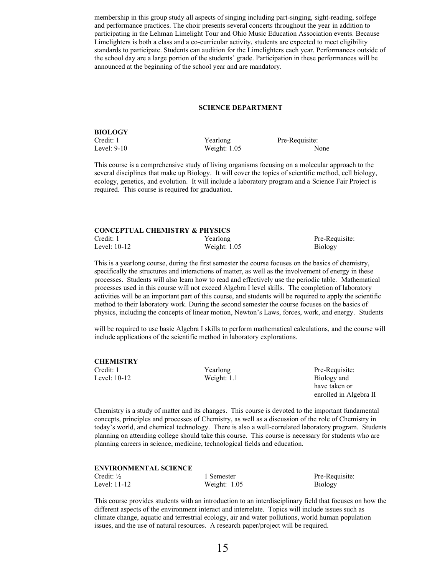membership in this group study all aspects of singing including part-singing, sight-reading, solfege and performance practices. The choir presents several concerts throughout the year in addition to participating in the Lehman Limelight Tour and Ohio Music Education Association events. Because Limelighters is both a class and a co-curricular activity, students are expected to meet eligibility standards to participate. Students can audition for the Limelighters each year. Performances outside of the school day are a large portion of the students' grade. Participation in these performances will be announced at the beginning of the school year and are mandatory.

#### **SCIENCE DEPARTMENT**

**BIOLOGY** Credit: 1 Yearlong Pre-Requisite:

Level: 9-10 Weight: 1.05 None

This course is a comprehensive study of living organisms focusing on a molecular approach to the several disciplines that make up Biology. It will cover the topics of scientific method, cell biology, ecology, genetics, and evolution. It will include a laboratory program and a Science Fair Project is required. This course is required for graduation.

#### **CONCEPTUAL CHEMISTRY & PHYSICS**

Credit: 1 Yearlong Pre-Requisite: Level: 10-12 Weight: 1.05 Biology

This is a yearlong course, during the first semester the course focuses on the basics of chemistry, specifically the structures and interactions of matter, as well as the involvement of energy in these processes. Students will also learn how to read and effectively use the periodic table. Mathematical processes used in this course will not exceed Algebra I level skills. The completion of laboratory activities will be an important part of this course, and students will be required to apply the scientific method to their laboratory work. During the second semester the course focuses on the basics of

will be required to use basic Algebra I skills to perform mathematical calculations, and the course will include applications of the scientific method in laboratory explorations.

physics, including the concepts of linear motion, Newton's Laws, forces, work, and energy. Students

| CHEMISTRY    |               |                |
|--------------|---------------|----------------|
| Credit: 1    | Yearlong      | Pre-Requisite: |
| Level: 10-12 | Weight: $1.1$ | Biology and    |
|              |               | have taken or  |

Chemistry is a study of matter and its changes. This course is devoted to the important fundamental concepts, principles and processes of Chemistry, as well as a discussion of the role of Chemistry in today's world, and chemical technology. There is also a well-correlated laboratory program. Students planning on attending college should take this course. This course is necessary for students who are planning careers in science, medicine, technological fields and education.

#### **ENVIRONMENTAL SCIENCE**

| Credit: $\frac{1}{2}$ |  |
|-----------------------|--|
| Level: 11-12          |  |

Weight: 1.05 Biology

1 Semester Pre-Requisite:

enrolled in Algebra II

This course provides students with an introduction to an interdisciplinary field that focuses on how the different aspects of the environment interact and interrelate. Topics will include issues such as climate change, aquatic and terrestrial ecology, air and water pollutions, world human population issues, and the use of natural resources. A research paper/project will be required.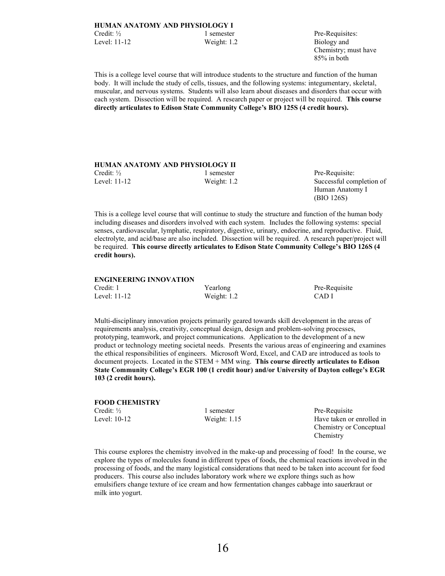Chemistry; must have 85% in both

This is a college level course that will introduce students to the structure and function of the human body. It will include the study of cells, tissues, and the following systems: integumentary, skeletal, muscular, and nervous systems. Students will also learn about diseases and disorders that occur with each system. Dissection will be required. A research paper or project will be required. **This course**  directly articulates to Edison State Community College's BIO 125S (4 credit hours).

## **HUMAN ANATOMY AND PHYSIOLOGY II**

Credit: <sup>1/2</sup> 1 semester Pre-Requisite: Level: 11-12 Weight: 1.2 Successful completion of

Human Anatomy I (BIO 126S)

This is a college level course that will continue to study the structure and function of the human body including diseases and disorders involved with each system. Includes the following systems: special senses, cardiovascular, lymphatic, respiratory, digestive, urinary, endocrine, and reproductive. Fluid, electrolyte, and acid/base are also included. Dissection will be required. A research paper/project will be required. **This c**ourse directly articulates to Edison State Community College'**s BIO 126S (4 credit hours).**

# **ENGINEERING INNOVATION** Credit: 1 Yearlong Pre-Requisite Level: 11-12 Weight: 1.2 CAD I

Multi-disciplinary innovation projects primarily geared towards skill development in the areas of requirements analysis, creativity, conceptual design, design and problem-solving processes, prototyping, teamwork, and project communications. Application to the development of a new product or technology meeting societal needs. Presents the various areas of engineering and examines the ethical responsibilities of engineers. Microsoft Word, Excel, and CAD are introduced as tools to document projects. Located in the STEM + MM wing. **This course directly articulates to Edison**  State Community College's EGR 100 (1 credit hour) **and/or University of Dayton college**'s EGR **103 (2 credit hours).**

| <b>FOOD CHEMISTRY</b> |                |                           |
|-----------------------|----------------|---------------------------|
| Credit: $\frac{1}{2}$ | 1 semester     | Pre-Requisite             |
| Level: 10-12          | Weight: $1.15$ | Have taken or enrolled in |
|                       |                | Chemistry or Conceptual   |
|                       |                | Chemistry                 |

This course explores the chemistry involved in the make-up and processing of food! In the course, we explore the types of molecules found in different types of foods, the chemical reactions involved in the processing of foods, and the many logistical considerations that need to be taken into account for food producers. This course also includes laboratory work where we explore things such as how emulsifiers change texture of ice cream and how fermentation changes cabbage into sauerkraut or milk into yogurt.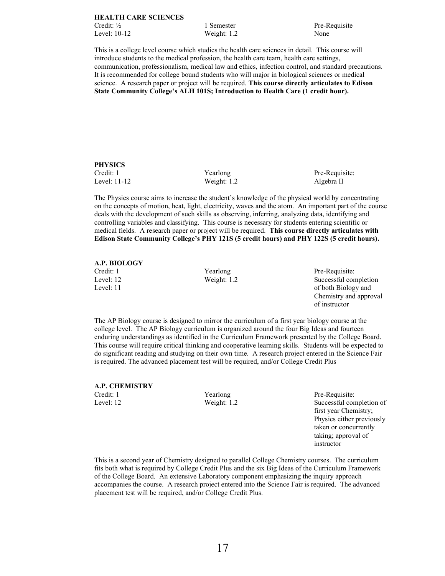# **HEALTH CARE SCIENCES** Credit: <sup>1</sup>/<sub>2</sub> 1 Semester Pre-Requisite Level: 10-12 Weight: 1.2 None

This is a college level course which studies the health care sciences in detail. This course will introduce students to the medical profession, the health care team, health care settings, communication, professionalism, medical law and ethics, infection control, and standard precautions. It is recommended for college bound students who will major in biological sciences or medical science. A research paper or project will be required. **This course directly articulates to Edison**  State Community College's AL**H 101S; Introduction to Health Care (1 credit hour).**

# **PHYSICS**

Level: 11-12 Weight: 1.2 Algebra II

Credit: 1 Yearlong Pre-Requisite:

The Physics course aims to increase the student's knowledge of the physical world by concentrating on the concepts of motion, heat, light, electricity, waves and the atom. An important part of the course deals with the development of such skills as observing, inferring, analyzing data, identifying and controlling variables and classifying. This course is necessary for students entering scientific or medical fields. A research paper or project will be required. **This course directly articulates with**  Edison State Community College's PHY 121S (5 credit hours) and PHY 122S (5 credit hours)**.**

# **A.P. BIOLOGY**

Credit: 1 Yearlong Pre-Requisite: Level: 12 Weight: 1.2 Successful completion Level: 11 of both Biology and Chemistry and approval of instructor

The AP Biology course is designed to mirror the curriculum of a first year biology course at the college level. The AP Biology curriculum is organized around the four Big Ideas and fourteen enduring understandings as identified in the Curriculum Framework presented by the College Board. This course will require critical thinking and cooperative learning skills. Students will be expected to do significant reading and studying on their own time. A research project entered in the Science Fair is required. The advanced placement test will be required, and/or College Credit Plus

# **A.P. CHEMISTRY**

Credit: 1 Yearlong Pre-Requisite: Level: 12 Weight: 1.2 Successful completion of first year Chemistry; Physics either previously taken or concurrently taking; approval of instructor

This is a second year of Chemistry designed to parallel College Chemistry courses. The curriculum fits both what is required by College Credit Plus and the six Big Ideas of the Curriculum Framework of the College Board. An extensive Laboratory component emphasizing the inquiry approach accompanies the course. A research project entered into the Science Fair is required. The advanced placement test will be required, and/or College Credit Plus.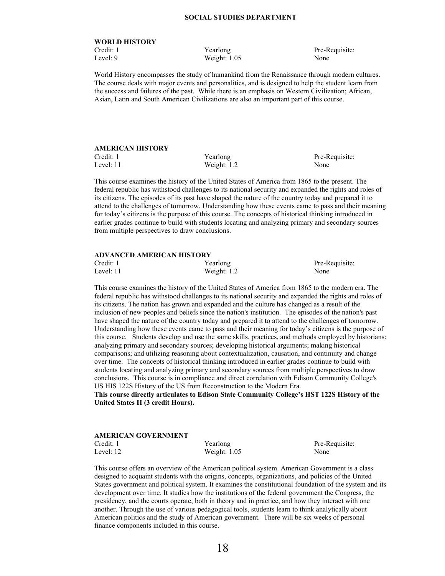### **SOCIAL STUDIES DEPARTMENT**

# **WORLD HISTORY**

Level: 9 Weight: 1.05 None

Credit: 1 Yearlong Pre-Requisite:

World History encompasses the study of humankind from the Renaissance through modern cultures. The course deals with major events and personalities, and is designed to help the student learn from the success and failures of the past. While there is an emphasis on Western Civilization; African, Asian, Latin and South American Civilizations are also an important part of this course.

# **AMERICAN HISTORY**

Credit: 1 Yearlong Pre-Requisite: Level: 11 Weight: 1.2 None

This course examines the history of the United States of America from 1865 to the present. The federal republic has withstood challenges to its national security and expanded the rights and roles of its citizens. The episodes of its past have shaped the nature of the country today and prepared it to attend to the challenges of tomorrow. Understanding how these events came to pass and their meaning for today's citizens is the purpose of this course. The concepts of historical thinking introduced in earlier grades continue to build with students locating and analyzing primary and secondary sources from multiple perspectives to draw conclusions.

| <b>ADVANCED AMERICAN HISTORY</b> |               |                |  |
|----------------------------------|---------------|----------------|--|
| Credit: 1                        | Yearlong      | Pre-Requisite: |  |
| Level: $11$                      | Weight: $1.2$ | None           |  |

This course examines the history of the United States of America from 1865 to the modern era. The federal republic has withstood challenges to its national security and expanded the rights and roles of its citizens. The nation has grown and expanded and the culture has changed as a result of the inclusion of new peoples and beliefs since the nation's institution. The episodes of the nation's past have shaped the nature of the country today and prepared it to attend to the challenges of tomorrow. Understanding how these events came to pass and their meaning for today's citizens is the purpose of this course. Students develop and use the same skills, practices, and methods employed by historians: analyzing primary and secondary sources; developing historical arguments; making historical comparisons; and utilizing reasoning about contextualization, causation, and continuity and change over time. The concepts of historical thinking introduced in earlier grades continue to build with students locating and analyzing primary and secondary sources from multiple perspectives to draw conclusions. This course is in compliance and direct correlation with Edison Community College's US HIS 122S History of the US from Reconstruction to the Modern Era.

This course directly articulates to Edison State Community College's HST 122S History of **the United States II (3 credit Hours).**

| AMERICAN GOVERNMENT |                |                |
|---------------------|----------------|----------------|
| Credit: 1           | Yearlong       | Pre-Requisite: |
| Level: 12           | Weight: $1.05$ | None           |

This course offers an overview of the American political system. American Government is a class designed to acquaint students with the origins, concepts, organizations, and policies of the United States government and political system. It examines the constitutional foundation of the system and its development over time. It studies how the institutions of the federal government the Congress, the presidency, and the courts operate, both in theory and in practice, and how they interact with one another. Through the use of various pedagogical tools, students learn to think analytically about American politics and the study of American government. There will be six weeks of personal finance components included in this course.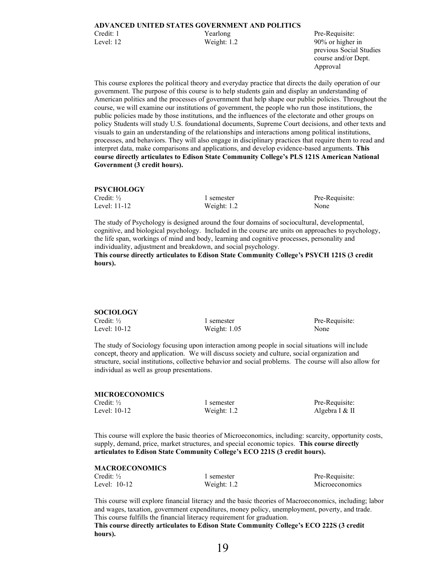previous Social Studies course and/or Dept. Approval

This course explores the political theory and everyday practice that directs the daily operation of our government. The purpose of this course is to help students gain and display an understanding of American politics and the processes of government that help shape our public policies. Throughout the course, we will examine our institutions of government, the people who run those institutions, the public policies made by those institutions, and the influences of the electorate and other groups on policy Students will study U.S. foundational documents, Supreme Court decisions, and other texts and visuals to gain an understanding of the relationships and interactions among political institutions, processes, and behaviors. They will also engage in disciplinary practices that require them to read and interpret data, make comparisons and applications, and develop evidence-based arguments. **This**  course directly articulates to Edison State Community College's PLS 12**1S American National Government (3 credit hours).**

#### **PSYCHOLOGY**

| Credit: ½    | 1 semester    | Pre-Requisite: |
|--------------|---------------|----------------|
| Level: 11-12 | Weight: $1.2$ | None           |

The study of Psychology is designed around the four domains of sociocultural, developmental, cognitive, and biological psychology. Included in the course are units on approaches to psychology, the life span, workings of mind and body, learning and cognitive processes, personality and individuality, adjustment and breakdown, and social psychology.

**This course directly arti**culates to Edison State Community College's P**SYCH 121S (3 credit hours).**

| <b>SOCIOLOGY</b>      |                |                |
|-----------------------|----------------|----------------|
| Credit: $\frac{1}{2}$ | 1 semester     | Pre-Requisite: |
| Level: 10-12          | Weight: $1.05$ | None           |

The study of Sociology focusing upon interaction among people in social situations will include concept, theory and application. We will discuss society and culture, social organization and structure, social institutions, collective behavior and social problems. The course will also allow for individual as well as group presentations.

### **MICROECONOMICS**

Credit: <sup>1/2</sup> 1 semester Pre-Requisite: Level: 10-12 Weight: 1.2 Algebra I & II

This course will explore the basic theories of Microeconomics, including: scarcity, opportunity costs, supply, demand, price, market structures, and special economic topics. **This course directly**  articulates to Edison State Community College's ECO 221S (3 credit hours).

### **MACROECONOMICS**

| Credit: $\frac{1}{2}$ | 1 semester    | Pre-Requisite:        |
|-----------------------|---------------|-----------------------|
| Level: $10-12$        | Weight: $1.2$ | <b>Microeconomics</b> |

This course will explore financial literacy and the basic theories of Macroeconomics, including; labor and wages, taxation, government expenditures, money policy, unemployment, poverty, and trade. This course fulfills the financial literacy requirement for graduation.

**This c**ourse directly articulates to Edison State Community College's ECO 222S (3 credit **hours).**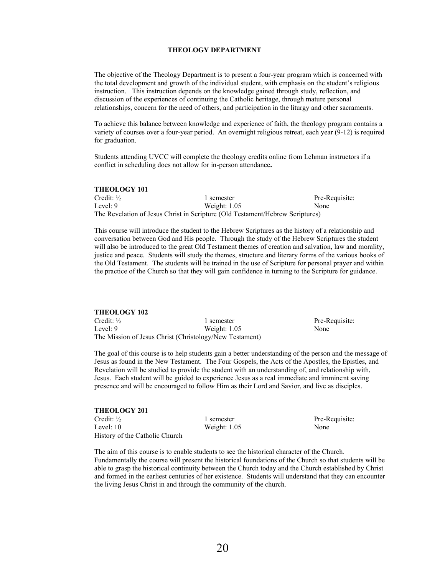# **THEOLOGY DEPARTMENT**

The objective of the Theology Department is to present a four-year program which is concerned with the total development and growth of the individual student, with emphasis on the student's religious instruction. This instruction depends on the knowledge gained through study, reflection, and discussion of the experiences of continuing the Catholic heritage, through mature personal relationships, concern for the need of others, and participation in the liturgy and other sacraments.

To achieve this balance between knowledge and experience of faith, the theology program contains a variety of courses over a four-year period. An overnight religious retreat, each year (9-12) is required for graduation.

Students attending UVCC will complete the theology credits online from Lehman instructors if a conflict in scheduling does not allow for in-person attendance**.** 

| THEOLOGY 101          |                                                                               |                |
|-----------------------|-------------------------------------------------------------------------------|----------------|
| Credit: $\frac{1}{2}$ | 1 semester                                                                    | Pre-Requisite: |
| Level: 9              | Weight: 1.05                                                                  | None           |
|                       | The Revelation of Jesus Christ in Scripture (Old Testament/Hebrew Scriptures) |                |

This course will introduce the student to the Hebrew Scriptures as the history of a relationship and conversation between God and His people. Through the study of the Hebrew Scriptures the student will also be introduced to the great Old Testament themes of creation and salvation, law and morality, justice and peace. Students will study the themes, structure and literary forms of the various books of the Old Testament. The students will be trained in the use of Scripture for personal prayer and within the practice of the Church so that they will gain confidence in turning to the Scripture for guidance.

| <b>THEOLOGY 102</b> |                                                         |                |
|---------------------|---------------------------------------------------------|----------------|
| Credit: ½           | 1 semester                                              | Pre-Requisite: |
| Level: 9            | Weight: $1.05$                                          | None           |
|                     | The Mission of Jesus Christ (Christology/New Testament) |                |

The goal of this course is to help students gain a better understanding of the person and the message of Jesus as found in the New Testament. The Four Gospels, the Acts of the Apostles, the Epistles, and Revelation will be studied to provide the student with an understanding of, and relationship with, Jesus. Each student will be guided to experience Jesus as a real immediate and imminent saving presence and will be encouraged to follow Him as their Lord and Savior, and live as disciples.

| <b>THEOLOGY 201</b>            |
|--------------------------------|
| Credit: $\frac{1}{2}$          |
| Level: $10$                    |
| History of the Catholic Church |

**THEOLOGY 101**

Weight: 1.05 None

1 semester Pre-Requisite:

The aim of this course is to enable students to see the historical character of the Church. Fundamentally the course will present the historical foundations of the Church so that students will be able to grasp the historical continuity between the Church today and the Church established by Christ and formed in the earliest centuries of her existence. Students will understand that they can encounter the living Jesus Christ in and through the community of the church.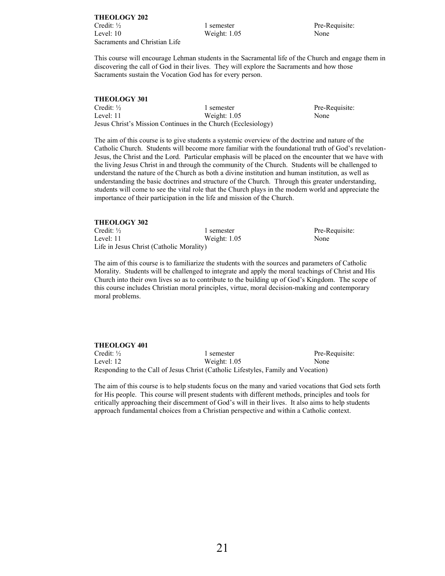**THEOLOGY 202** Credit: <sup>1</sup>/<sub>2</sub> 1 semester Pre-Requisite: Level: 10 Weight: 1.05 None Sacraments and Christian Life

Weight: 1.05 None

Pre-Requisite:

This course will encourage Lehman students in the Sacramental life of the Church and engage them in discovering the call of God in their lives. They will explore the Sacraments and how those Sacraments sustain the Vocation God has for every person.

# **THEOLOGY 301**

| Credit: $\frac{1}{2}$                                         | 1 semester     | Pre-Requisite: |
|---------------------------------------------------------------|----------------|----------------|
| Level: 11                                                     | Weight: $1.05$ | None           |
| Jesus Christ's Mission Continues in the Church (Ecclesiology) |                |                |

The aim of this course is to give students a systemic overview of the doctrine and nature of the Catholic Church. Students will become more familiar with the foundational truth of God's revelation-Jesus, the Christ and the Lord. Particular emphasis will be placed on the encounter that we have with the living Jesus Christ in and through the community of the Church. Students will be challenged to understand the nature of the Church as both a divine institution and human institution, as well as understanding the basic doctrines and structure of the Church. Through this greater understanding, students will come to see the vital role that the Church plays in the modern world and appreciate the importance of their participation in the life and mission of the Church.

# **THEOLOGY 302**

| Credit: $\frac{1}{2}$                    | 1 semester     | Pre-R |
|------------------------------------------|----------------|-------|
| Level: 11                                | Weight: $1.05$ | None  |
| Life in Jesus Christ (Catholic Morality) |                |       |

The aim of this course is to familiarize the students with the sources and parameters of Catholic Morality. Students will be challenged to integrate and apply the moral teachings of Christ and His Church into their own lives so as to contribute to the building up of God's Kingdom. The scope of this course includes Christian moral principles, virtue, moral decision-making and contemporary moral problems.

#### **THEOLOGY 401**

Credit: <sup>1/2</sup> 1 semester Pre-Requisite: Level: 12 Weight: 1.05 None Responding to the Call of Jesus Christ (Catholic Lifestyles, Family and Vocation)

The aim of this course is to help students focus on the many and varied vocations that God sets forth for His people. This course will present students with different methods, principles and tools for critically approaching their discernment of God's will in their lives. It also aims to help students approach fundamental choices from a Christian perspective and within a Catholic context.